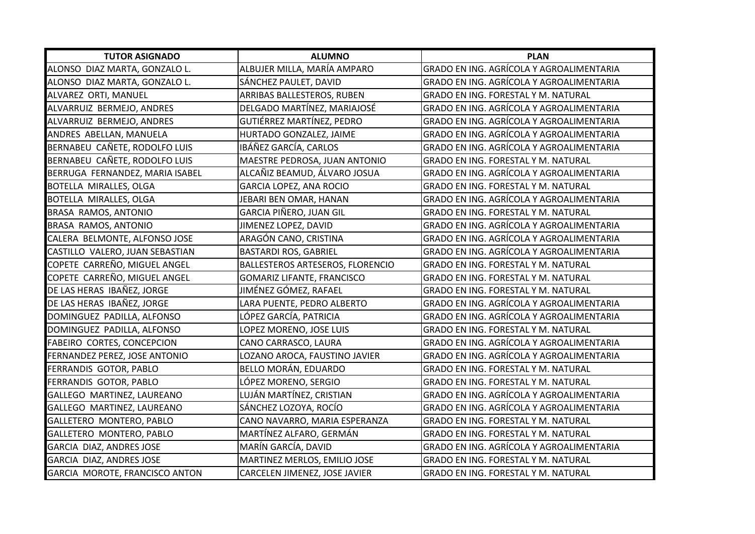| <b>TUTOR ASIGNADO</b>             | <b>ALUMNO</b>                     | <b>PLAN</b>                                     |
|-----------------------------------|-----------------------------------|-------------------------------------------------|
| ALONSO DIAZ MARTA, GONZALO L.     | ALBUJER MILLA, MARÍA AMPARO       | GRADO EN ING. AGRÍCOLA Y AGROALIMENTARIA        |
| ALONSO DIAZ MARTA, GONZALO L.     | SÁNCHEZ PAULET, DAVID             | GRADO EN ING. AGRÍCOLA Y AGROALIMENTARIA        |
| ALVAREZ ORTI, MANUEL              | ARRIBAS BALLESTEROS, RUBEN        | GRADO EN ING. FORESTAL Y M. NATURAL             |
| ALVARRUIZ BERMEJO, ANDRES         | DELGADO MARTÍNEZ, MARIAJOSÉ       | GRADO EN ING. AGRÍCOLA Y AGROALIMENTARIA        |
| ALVARRUIZ BERMEJO, ANDRES         | GUTIÉRREZ MARTÍNEZ, PEDRO         | GRADO EN ING. AGRÍCOLA Y AGROALIMENTARIA        |
| ANDRES ABELLAN, MANUELA           | HURTADO GONZALEZ, JAIME           | GRADO EN ING. AGRÍCOLA Y AGROALIMENTARIA        |
| BERNABEU CAÑETE, RODOLFO LUIS     | IBÁÑEZ GARCÍA, CARLOS             | <b>GRADO EN ING. AGRÍCOLA Y AGROALIMENTARIA</b> |
| BERNABEU CAÑETE, RODOLFO LUIS     | MAESTRE PEDROSA, JUAN ANTONIO     | GRADO EN ING. FORESTAL Y M. NATURAL             |
| BERRUGA FERNANDEZ, MARIA ISABEL   | ALCAÑIZ BEAMUD, ÁLVARO JOSUA      | GRADO EN ING. AGRÍCOLA Y AGROALIMENTARIA        |
| BOTELLA MIRALLES, OLGA            | GARCIA LOPEZ, ANA ROCIO           | <b>GRADO EN ING. FORESTAL Y M. NATURAL</b>      |
| BOTELLA MIRALLES, OLGA            | JEBARI BEN OMAR, HANAN            | <b>GRADO EN ING. AGRÍCOLA Y AGROALIMENTARIA</b> |
| BRASA RAMOS, ANTONIO              | GARCIA PIÑERO, JUAN GIL           | GRADO EN ING. FORESTAL Y M. NATURAL             |
| BRASA RAMOS, ANTONIO              | JIMENEZ LOPEZ, DAVID              | GRADO EN ING. AGRÍCOLA Y AGROALIMENTARIA        |
| CALERA BELMONTE, ALFONSO JOSE     | ARAGÓN CANO, CRISTINA             | <b>GRADO EN ING. AGRÍCOLA Y AGROALIMENTARIA</b> |
| CASTILLO VALERO, JUAN SEBASTIAN   | <b>BASTARDI ROS, GABRIEL</b>      | GRADO EN ING. AGRÍCOLA Y AGROALIMENTARIA        |
| COPETE CARREÑO, MIGUEL ANGEL      | BALLESTEROS ARTESEROS, FLORENCIO  | <b>GRADO EN ING. FORESTAL Y M. NATURAL</b>      |
| COPETE CARREÑO, MIGUEL ANGEL      | <b>GOMARIZ LIFANTE, FRANCISCO</b> | <b>GRADO EN ING. FORESTAL Y M. NATURAL</b>      |
| DE LAS HERAS IBAÑEZ, JORGE        | JIMÉNEZ GÓMEZ, RAFAEL             | <b>GRADO EN ING. FORESTAL Y M. NATURAL</b>      |
| DE LAS HERAS IBAÑEZ, JORGE        | LARA PUENTE, PEDRO ALBERTO        | GRADO EN ING. AGRÍCOLA Y AGROALIMENTARIA        |
| DOMINGUEZ PADILLA, ALFONSO        | LÓPEZ GARCÍA, PATRICIA            | GRADO EN ING. AGRÍCOLA Y AGROALIMENTARIA        |
| DOMINGUEZ PADILLA, ALFONSO        | LOPEZ MORENO, JOSE LUIS           | <b>GRADO EN ING. FORESTAL Y M. NATURAL</b>      |
| <b>FABEIRO CORTES, CONCEPCION</b> | CANO CARRASCO, LAURA              | GRADO EN ING. AGRÍCOLA Y AGROALIMENTARIA        |
| FERNANDEZ PEREZ, JOSE ANTONIO     | LOZANO AROCA, FAUSTINO JAVIER     | GRADO EN ING. AGRÍCOLA Y AGROALIMENTARIA        |
| FERRANDIS GOTOR, PABLO            | BELLO MORÁN, EDUARDO              | <b>GRADO EN ING. FORESTAL Y M. NATURAL</b>      |
| FERRANDIS GOTOR, PABLO            | LÓPEZ MORENO, SERGIO              | <b>GRADO EN ING. FORESTAL Y M. NATURAL</b>      |
| GALLEGO MARTINEZ, LAUREANO        | LUJÁN MARTÍNEZ, CRISTIAN          | <b>GRADO EN ING. AGRÍCOLA Y AGROALIMENTARIA</b> |
| GALLEGO MARTINEZ, LAUREANO        | SÁNCHEZ LOZOYA, ROCÍO             | GRADO EN ING. AGRÍCOLA Y AGROALIMENTARIA        |
| GALLETERO MONTERO, PABLO          | CANO NAVARRO, MARIA ESPERANZA     | <b>GRADO EN ING. FORESTAL Y M. NATURAL</b>      |
| GALLETERO MONTERO, PABLO          | MARTÍNEZ ALFARO, GERMÁN           | GRADO EN ING. FORESTAL Y M. NATURAL             |
| GARCIA DIAZ, ANDRES JOSE          | MARÍN GARCÍA, DAVID               | GRADO EN ING. AGRÍCOLA Y AGROALIMENTARIA        |
| GARCIA DIAZ, ANDRES JOSE          | MARTINEZ MERLOS, EMILIO JOSE      | GRADO EN ING. FORESTAL Y M. NATURAL             |
| GARCIA MOROTE, FRANCISCO ANTON    | CARCELEN JIMENEZ, JOSE JAVIER     | GRADO EN ING. FORESTAL Y M. NATURAL             |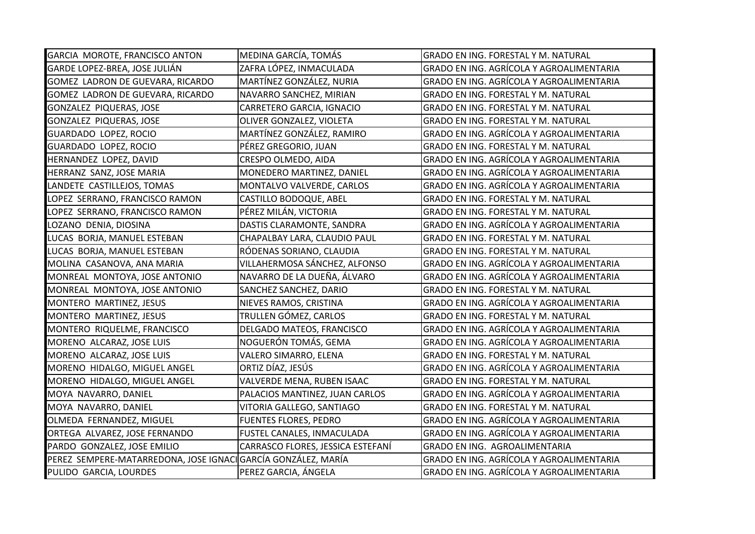| GARCIA MOROTE, FRANCISCO ANTON                                | MEDINA GARCÍA, TOMÁS              | GRADO EN ING. FORESTAL Y M. NATURAL             |
|---------------------------------------------------------------|-----------------------------------|-------------------------------------------------|
| GARDE LOPEZ-BREA, JOSE JULIÁN                                 | ZAFRA LÓPEZ, INMACULADA           | GRADO EN ING. AGRÍCOLA Y AGROALIMENTARIA        |
| GOMEZ LADRON DE GUEVARA, RICARDO                              | MARTÍNEZ GONZÁLEZ, NURIA          | GRADO EN ING. AGRÍCOLA Y AGROALIMENTARIA        |
| GOMEZ LADRON DE GUEVARA, RICARDO                              | NAVARRO SANCHEZ, MIRIAN           | GRADO EN ING. FORESTAL Y M. NATURAL             |
| GONZALEZ PIQUERAS, JOSE                                       | CARRETERO GARCIA, IGNACIO         | GRADO EN ING. FORESTAL Y M. NATURAL             |
| GONZALEZ PIQUERAS, JOSE                                       | OLIVER GONZALEZ, VIOLETA          | GRADO EN ING. FORESTAL Y M. NATURAL             |
| GUARDADO LOPEZ, ROCIO                                         | MARTÍNEZ GONZÁLEZ, RAMIRO         | GRADO EN ING. AGRÍCOLA Y AGROALIMENTARIA        |
| GUARDADO LOPEZ, ROCIO                                         | PÉREZ GREGORIO, JUAN              | GRADO EN ING. FORESTAL Y M. NATURAL             |
| HERNANDEZ LOPEZ, DAVID                                        | CRESPO OLMEDO, AIDA               | <b>GRADO EN ING. AGRÍCOLA Y AGROALIMENTARIA</b> |
| HERRANZ SANZ, JOSE MARIA                                      | MONEDERO MARTINEZ, DANIEL         | GRADO EN ING. AGRÍCOLA Y AGROALIMENTARIA        |
| LANDETE CASTILLEJOS, TOMAS                                    | MONTALVO VALVERDE, CARLOS         | GRADO EN ING. AGRÍCOLA Y AGROALIMENTARIA        |
| LOPEZ SERRANO, FRANCISCO RAMON                                | CASTILLO BODOQUE, ABEL            | GRADO EN ING. FORESTAL Y M. NATURAL             |
| LOPEZ SERRANO, FRANCISCO RAMON                                | PÉREZ MILÁN, VICTORIA             | GRADO EN ING. FORESTAL Y M. NATURAL             |
| LOZANO DENIA, DIOSINA                                         | DASTIS CLARAMONTE, SANDRA         | GRADO EN ING. AGRÍCOLA Y AGROALIMENTARIA        |
| LUCAS BORJA, MANUEL ESTEBAN                                   | CHAPALBAY LARA, CLAUDIO PAUL      | GRADO EN ING. FORESTAL Y M. NATURAL             |
| LUCAS BORJA, MANUEL ESTEBAN                                   | RÓDENAS SORIANO, CLAUDIA          | GRADO EN ING. FORESTAL Y M. NATURAL             |
| MOLINA CASANOVA, ANA MARIA                                    | VILLAHERMOSA SÁNCHEZ, ALFONSO     | GRADO EN ING. AGRÍCOLA Y AGROALIMENTARIA        |
| MONREAL MONTOYA, JOSE ANTONIO                                 | NAVARRO DE LA DUEÑA, ÁLVARO       | GRADO EN ING. AGRÍCOLA Y AGROALIMENTARIA        |
| MONREAL MONTOYA, JOSE ANTONIO                                 | SANCHEZ SANCHEZ, DARIO            | GRADO EN ING. FORESTAL Y M. NATURAL             |
| MONTERO MARTINEZ, JESUS                                       | NIEVES RAMOS, CRISTINA            | GRADO EN ING. AGRÍCOLA Y AGROALIMENTARIA        |
| MONTERO MARTINEZ, JESUS                                       | TRULLEN GÓMEZ, CARLOS             | GRADO EN ING. FORESTAL Y M. NATURAL             |
| MONTERO RIQUELME, FRANCISCO                                   | DELGADO MATEOS, FRANCISCO         | GRADO EN ING. AGRÍCOLA Y AGROALIMENTARIA        |
| MORENO ALCARAZ, JOSE LUIS                                     | NOGUERÓN TOMÁS, GEMA              | GRADO EN ING. AGRÍCOLA Y AGROALIMENTARIA        |
| MORENO ALCARAZ, JOSE LUIS                                     | VALERO SIMARRO, ELENA             | GRADO EN ING. FORESTAL Y M. NATURAL             |
| MORENO HIDALGO, MIGUEL ANGEL                                  | ORTIZ DÍAZ, JESÚS                 | GRADO EN ING. AGRÍCOLA Y AGROALIMENTARIA        |
| MORENO HIDALGO, MIGUEL ANGEL                                  | VALVERDE MENA, RUBEN ISAAC        | GRADO EN ING. FORESTAL Y M. NATURAL             |
| MOYA NAVARRO, DANIEL                                          | PALACIOS MANTINEZ, JUAN CARLOS    | GRADO EN ING. AGRÍCOLA Y AGROALIMENTARIA        |
| MOYA NAVARRO, DANIEL                                          | VITORIA GALLEGO, SANTIAGO         | GRADO EN ING. FORESTAL Y M. NATURAL             |
| OLMEDA FERNANDEZ, MIGUEL                                      | <b>FUENTES FLORES, PEDRO</b>      | GRADO EN ING. AGRÍCOLA Y AGROALIMENTARIA        |
| ORTEGA ALVAREZ, JOSE FERNANDO                                 | FUSTEL CANALES, INMACULADA        | GRADO EN ING. AGRÍCOLA Y AGROALIMENTARIA        |
| PARDO GONZALEZ, JOSE EMILIO                                   | CARRASCO FLORES, JESSICA ESTEFANÍ | GRADO EN ING. AGROALIMENTARIA                   |
| PEREZ SEMPERE-MATARREDONA, JOSE IGNACI GARCÍA GONZÁLEZ, MARÍA |                                   | GRADO EN ING. AGRÍCOLA Y AGROALIMENTARIA        |
| PULIDO GARCIA, LOURDES                                        | PEREZ GARCIA, ÁNGELA              | GRADO EN ING. AGRÍCOLA Y AGROALIMENTARIA        |